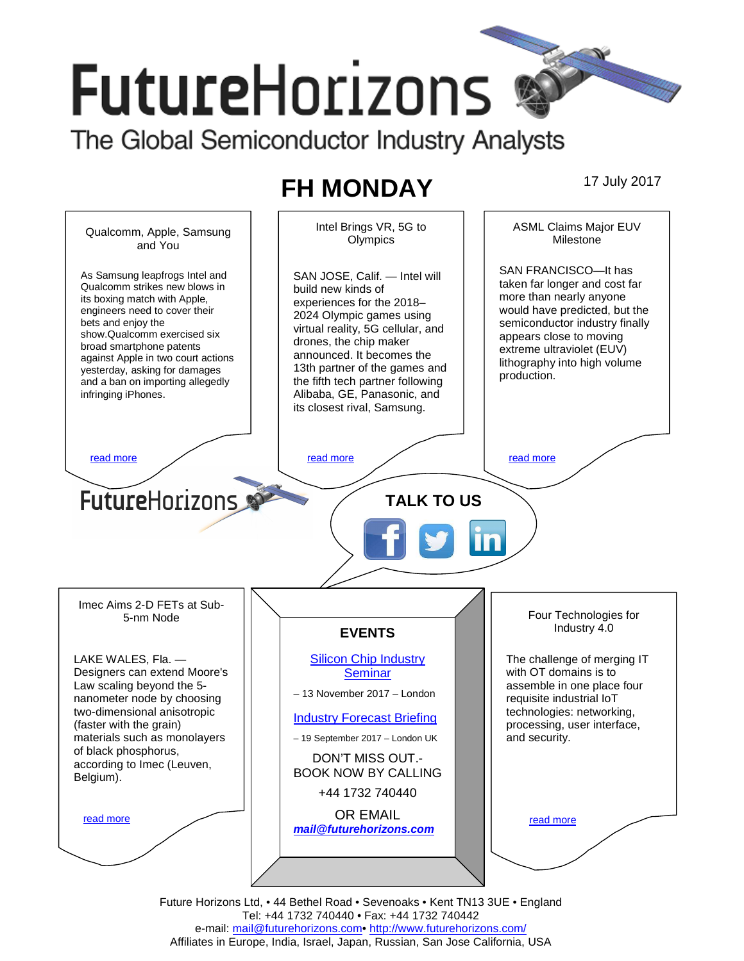# **FutureHorizons** The Global Semiconductor Industry Analysts

# **FH MONDAY** 17 July 2017



Future Horizons Ltd, • 44 Bethel Road • Sevenoaks • Kent TN13 3UE • England Tel: +44 1732 740440 • Fax: +44 1732 740442 e-mail: mail@futurehorizons.com• http://www.futurehorizons.com/ Affiliates in Europe, India, Israel, Japan, Russian, San Jose California, USA